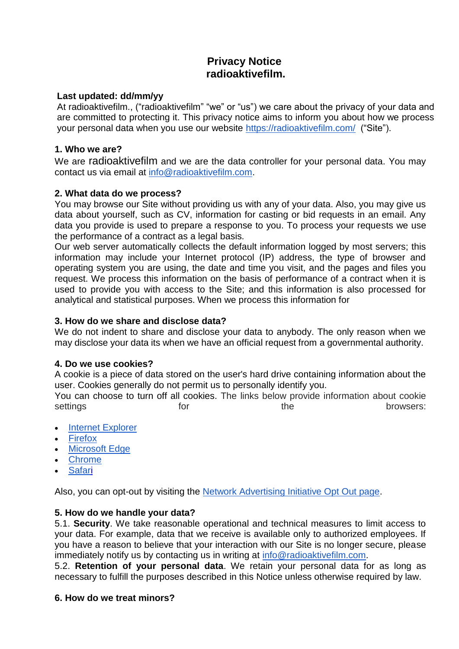# **Privacy Notice radioaktivefilm.**

## **Last updated: dd/mm/yy**

At radioaktivefilm., ("radioaktivefilm" "we" or "us") we care about the privacy of your data and are committed to protecting it. This privacy notice aims to inform you about how we process your personal data when you use our website<https://radioaktivefilm.com/> ("Site").

# **1. Who we are?**

We are radioaktivefilm and we are the data controller for your personal data. You may contact us via email at [info@radioaktivefilm.com.](mailto:info@radioaktivefilm.com)

## **2. What data do we process?**

You may browse our Site without providing us with any of your data. Also, you may give us data about yourself, such as CV, information for casting or bid requests in an email. Any data you provide is used to prepare a response to you. To process your requests we use the performance of a contract as a legal basis.

Our web server automatically collects the default information logged by most servers; this information may include your Internet protocol (IP) address, the type of browser and operating system you are using, the date and time you visit, and the pages and files you request. We process this information on the basis of performance of a contract when it is used to provide you with access to the Site; and this information is also processed for analytical and statistical purposes. When we process this information for

# **3. How do we share and disclose data?**

We do not indent to share and disclose your data to anybody. The only reason when we may disclose your data its when we have an official request from a governmental authority.

## **4. Do we use cookies?**

A cookie is a piece of data stored on the user's hard drive containing information about the user. Cookies generally do not permit us to personally identify you.

You can choose to turn off all cookies. The links below provide information about cookie settings the browsers:

- [Internet Explorer](https://support.microsoft.com/en-us/help/17442/windows-internet-explorer-delete-manage-cookies)
- [Firefox](https://support.mozilla.org/en-US/kb/cookies-information-websites-store-on-your-computer)
- [Microsoft Edge](https://privacy.microsoft.com/en-us/windows-10-microsoft-edge-and-privacy)
- [Chrome](https://support.google.com/chrome/answer/95647)
- [Safari](https://support.apple.com/guide/safari/manage-cookies-and-website-data-sfri11471/)

Also, you can opt-out by visiting the [Network Advertising Initiative Opt Out page.](http://optout.networkadvertising.org/?c=1#!/)

## **5. How do we handle your data?**

5.1. **Security**. We take reasonable operational and technical measures to limit access to your data. For example, data that we receive is available only to authorized employees. If you have a reason to believe that your interaction with our Site is no longer secure, please immediately notify us by contacting us in writing at [info@radioaktivefilm.com.](mailto:info@radioaktivefilm.com)

5.2. **Retention of your personal data**. We retain your personal data for as long as necessary to fulfill the purposes described in this Notice unless otherwise required by law.

## **6. How do we treat minors?**